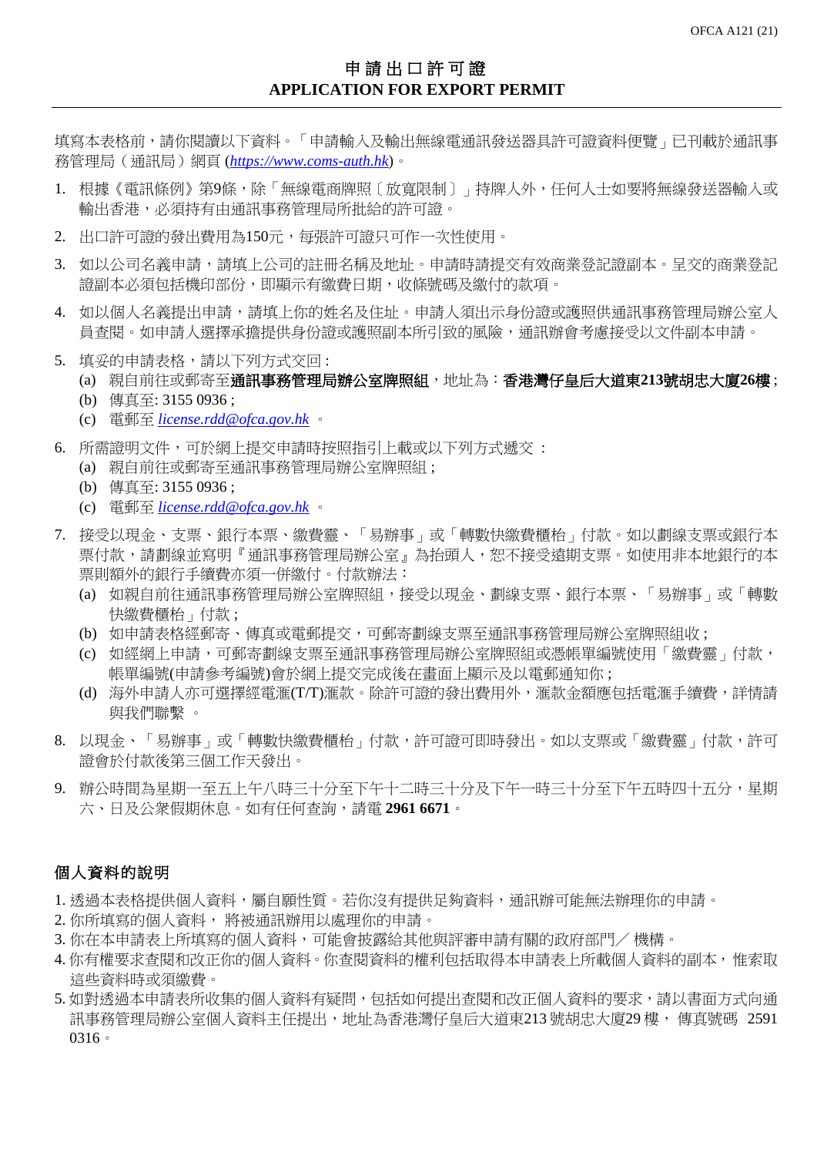填寫本表格前,請你閱讀以下資料。「申請輸入及輸出無線電通訊發送器具許可證資料便覽」已刊載於通訊事 務管理局(通訊局)網頁 (*[https://www.coms-auth.hk](https://www.coms-auth.hk/)*)。

- 1. 根據《電訊條例》第9條,除「無線電商牌照〔放寬限制〕」持牌人外,任何人士如要將無線發送器輸入或 輸出香港,必須持有由通訊事務管理局所批給的許可證。
- 2. 出口許可證的發出費用為150元,每張許可證只可作一次性使用。
- 3. 如以公司名義申請,請填上公司的註冊名稱及地址。申請時請提交有效商業登記證詞本。呈交的商業登記 證副本必須包括機印部份,即顯示有繳費日期,收條號碼及繳付的款項。
- 4. 如以個人名義提出申請,請填上你的姓名及住址。申請人須出示身份證或護照供通訊事務管理局辦公室人 員查閱。如申請人選擇承擔提供身份證或護照副本所引致的風險,通訊辦會考慮接受以文件副本申請。
- 5. 填妥的申請表格,請以下列方式交回:
	- (a) 親自前往或郵寄至通訊事務管理局辦公室牌照組,地址為:香港灣仔皇后大道東**213**號胡忠大廈**26**樓 ;
	- (b) 傳真至: 3155 0936 ;
	- (c) 電郵至 *[license.rdd@ofca.gov.hk](mailto:license.rdd@ofca.gov.hk)* 。
- 6. 所需證明文件,可於網上提交申請時按照指引上載或以下列方式遞交 :
	- (a) 親自前往或郵寄至通訊事務管理局辦公室牌照組 ;
	- (b) 傳真至: 3155 0936 ;
	- (c) 電郵至 *[license.rdd@ofca.gov.hk](mailto:license.rdd@ofca.gov.hk)* 。
- 7. 接受以現金、支票、銀行本票、繳費靈、「易辦事」或「轉數快繳費櫃枱」付款。如以劃線支票或銀行本 票付款,請劃線並寫明『通訊事務管理局辦公室』為抬頭人,恕不接受遠期支票。如使用非本地銀行的本 票則額外的銀行手續費亦須一併繳付。付款辦法:
	- (a) 如親自前往通訊事務管理局辦公室牌照組,接受以現金、劃線支票、銀行本票、「易辦事」或「轉數 快繳費櫃枱 」付款;
	- (b) 如申請表格經郵寄、傳真或電郵提交,可郵寄劃線支票至通訊事務管理局辦公室牌照組收 ;
	- (c) 如經網上申請,可郵寄劃線支票至通訊事務管理局辦公室牌照組或憑帳單編號使用「繳費靈」付款, 帳單編號(申請參考編號)會於網上提交完成後在畫面上顯示及以電郵通知你 ;
	- (d) 海外申請人亦可選擇經電滙(T/T)滙款。除許可證的發出費用外,滙款金額應包括電滙手續費,詳情請 與我們聯繫 。
- 8. 以現金、「易辦事」或「轉數快繳費櫃枱」付款,許可證可即時發出。如以支票或「繳費靈」付款,許可 證會於付款後第三個工作天發出。
- 9. 辦公時間為星期一至五上午八時三十分至下午十二時三十分及下午一時三十分至下午五時四十五分,星期 六、日及公衆假期休息。如有任何查詢,請電 **2961 6671**。

## 個人資料的說明

- 1. 透過本表格提供個人資料,屬自願性質。若你沒有提供足夠資料,通訊辦可能無法辦理你的申請。
- 2. 你所填寫的個人資料, 將被通訊辦用以處理你的申請。
- 3. 你在本申請表上所填寫的個人資料,可能會披露給其他與評審申請有關的政府部門/機構。
- 4. 你有權要求查閱和改正你的個人資料。你查閱資料的權利包括取得本申請表上所載個人資料的副本,惟索取 這些資料時或須繳費。
- 5. 如對透過本申請表所收集的個人資料有疑問,包括如何提出查閱和改正個人資料的要求,請以書面方式向通 訊事務管理局辦公室個人資料主任提出,地址為香港灣仔皇后大道東213 號胡忠大廈29 樓, 傳真號碼 2591 0316。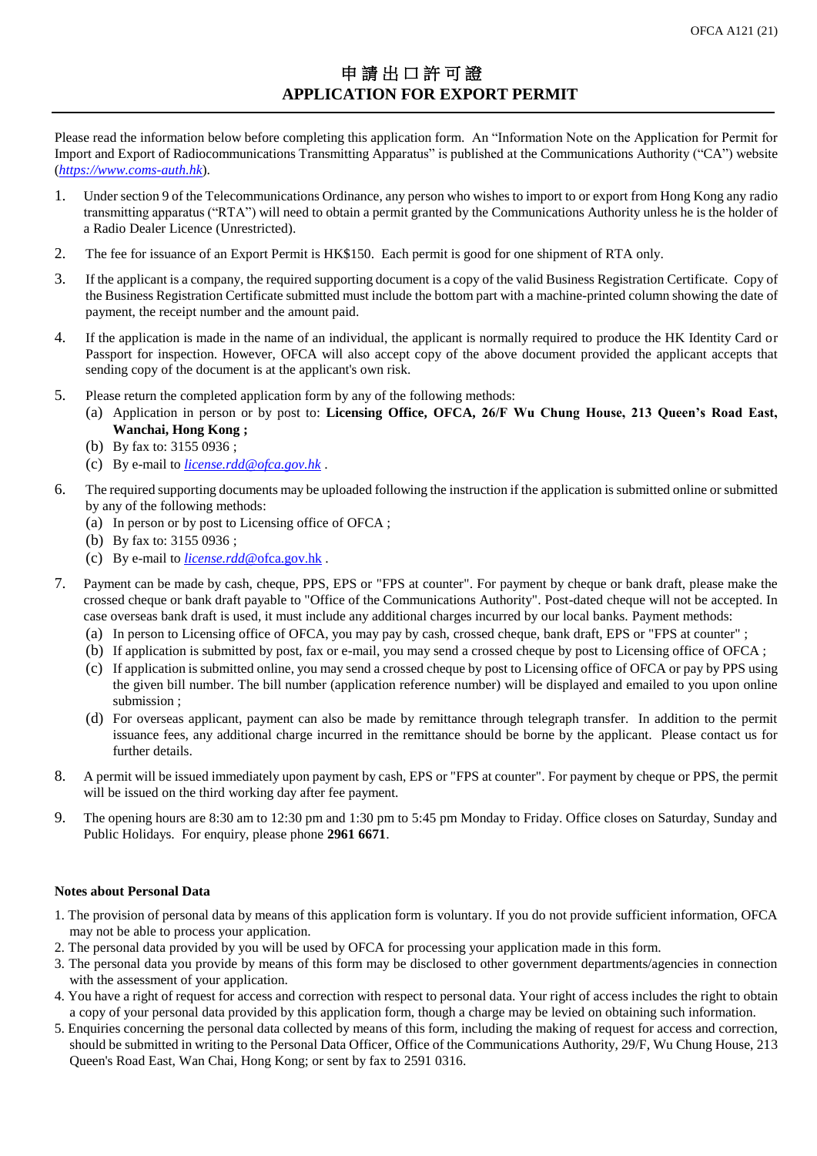Please read the information below before completing this application form. An "Information Note on the Application for Permit for Import and Export of Radiocommunications Transmitting Apparatus" is published at the Communications Authority ("CA") website (*[https://www.coms-auth.hk](https://www.coms-auth.hk/)*).

- 1. Under section 9 of the Telecommunications Ordinance, any person who wishes to import to or export from Hong Kong any radio transmitting apparatus ("RTA") will need to obtain a permit granted by the Communications Authority unless he is the holder of a Radio Dealer Licence (Unrestricted).
- 2. The fee for issuance of an Export Permit is HK\$150. Each permit is good for one shipment of RTA only.
- 3. If the applicant is a company, the required supporting document is a copy of the valid Business Registration Certificate. Copy of the Business Registration Certificate submitted must include the bottom part with a machine-printed column showing the date of payment, the receipt number and the amount paid.
- 4. If the application is made in the name of an individual, the applicant is normally required to produce the HK Identity Card or Passport for inspection. However, OFCA will also accept copy of the above document provided the applicant accepts that sending copy of the document is at the applicant's own risk.
- 5. Please return the completed application form by any of the following methods:
	- (a) Application in person or by post to: **Licensing Office, OFCA, 26/F Wu Chung House, 213 Queen's Road East, Wanchai, Hong Kong ;**
	- (b) By fax to: 3155 0936 ;
	- (c) By e-mail to *[license.rdd@ofca.gov.hk](mailto:license.rdd@ofca.gov.hk)* .
- 6. The required supporting documents may be uploaded following the instruction if the application is submitted online or submitted by any of the following methods:
	- (a) In person or by post to Licensing office of OFCA ;
	- (b) By fax to: 3155 0936 ;
	- (c) By e-mail to *license.rdd*[@ofca.gov.hk](mailto:license.rdd@ofca.gov.hk) .
- 7. Payment can be made by cash, cheque, PPS, EPS or "FPS at counter". For payment by cheque or bank draft, please make the crossed cheque or bank draft payable to "Office of the Communications Authority". Post-dated cheque will not be accepted. In case overseas bank draft is used, it must include any additional charges incurred by our local banks. Payment methods:
	- (a) In person to Licensing office of OFCA, you may pay by cash, crossed cheque, bank draft, EPS or "FPS at counter" ;
	- (b) If application is submitted by post, fax or e-mail, you may send a crossed cheque by post to Licensing office of OFCA ;
	- (c) If application is submitted online, you may send a crossed cheque by post to Licensing office of OFCA or pay by PPS using the given bill number. The bill number (application reference number) will be displayed and emailed to you upon online submission ;
	- (d) For overseas applicant, payment can also be made by remittance through telegraph transfer. In addition to the permit issuance fees, any additional charge incurred in the remittance should be borne by the applicant. Please contact us for further details.
- 8. A permit will be issued immediately upon payment by cash, EPS or "FPS at counter". For payment by cheque or PPS, the permit will be issued on the third working day after fee payment.
- 9. The opening hours are 8:30 am to 12:30 pm and 1:30 pm to 5:45 pm Monday to Friday. Office closes on Saturday, Sunday and Public Holidays. For enquiry, please phone **2961 6671**.

## **Notes about Personal Data**

- 1. The provision of personal data by means of this application form is voluntary. If you do not provide sufficient information, OFCA may not be able to process your application.
- 2. The personal data provided by you will be used by OFCA for processing your application made in this form.
- 3. The personal data you provide by means of this form may be disclosed to other government departments/agencies in connection with the assessment of your application.
- 4. You have a right of request for access and correction with respect to personal data. Your right of access includes the right to obtain a copy of your personal data provided by this application form, though a charge may be levied on obtaining such information.
- 5. Enquiries concerning the personal data collected by means of this form, including the making of request for access and correction, should be submitted in writing to the Personal Data Officer, Office of the Communications Authority, 29/F, Wu Chung House, 213 Queen's Road East, Wan Chai, Hong Kong; or sent by fax to 2591 0316.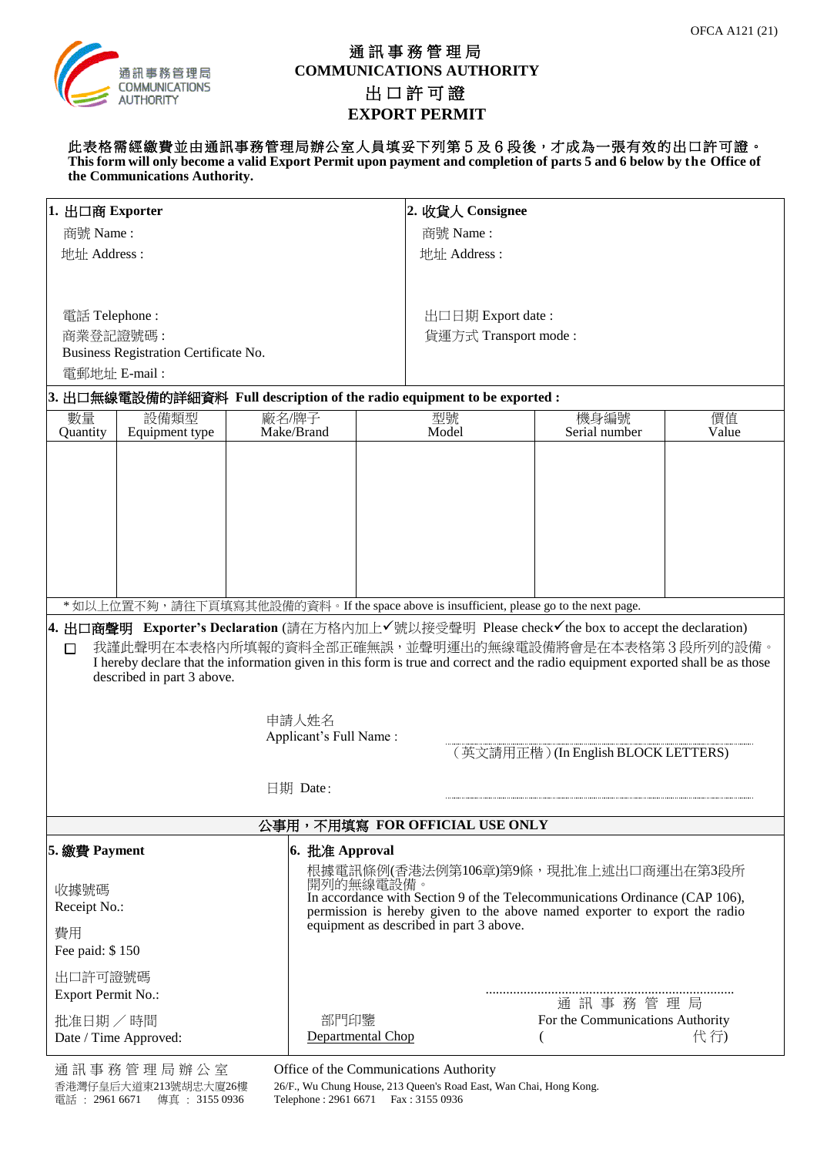

## 通訊事務管理局 **COMMUNICATIONS AUTHORITY** 出 口許可證 **EXPORT PERMIT**

此表格需經繳費並由通訊事務管理局辦公室人員填妥下列第5及6段後,才成為一張有效的出口許可證。 **This form will only become a valid Export Permit upon payment and completion of parts 5 and 6 below by the Office of the Communications Authority.**

| 1. 出口商 Exporter                                                                                                                                                                                                                                                                                                                  |  |                                                                            |                                                                                          | 2. 收貨人 Consignee                                                                        |                                      |             |  |  |  |  |  |
|----------------------------------------------------------------------------------------------------------------------------------------------------------------------------------------------------------------------------------------------------------------------------------------------------------------------------------|--|----------------------------------------------------------------------------|------------------------------------------------------------------------------------------|-----------------------------------------------------------------------------------------|--------------------------------------|-------------|--|--|--|--|--|
| 商號 Name:                                                                                                                                                                                                                                                                                                                         |  |                                                                            |                                                                                          | 商號 Name:                                                                                |                                      |             |  |  |  |  |  |
| 地址 Address:                                                                                                                                                                                                                                                                                                                      |  |                                                                            |                                                                                          | 地址 Address:                                                                             |                                      |             |  |  |  |  |  |
|                                                                                                                                                                                                                                                                                                                                  |  |                                                                            |                                                                                          |                                                                                         |                                      |             |  |  |  |  |  |
|                                                                                                                                                                                                                                                                                                                                  |  |                                                                            |                                                                                          |                                                                                         |                                      |             |  |  |  |  |  |
| 電話 Telephone:                                                                                                                                                                                                                                                                                                                    |  |                                                                            |                                                                                          | 出口日期 Export date:                                                                       |                                      |             |  |  |  |  |  |
| 商業登記證號碼:                                                                                                                                                                                                                                                                                                                         |  |                                                                            |                                                                                          | 貨運方式 Transport mode:                                                                    |                                      |             |  |  |  |  |  |
| Business Registration Certificate No.                                                                                                                                                                                                                                                                                            |  |                                                                            |                                                                                          |                                                                                         |                                      |             |  |  |  |  |  |
| 電郵地址 E-mail:                                                                                                                                                                                                                                                                                                                     |  |                                                                            |                                                                                          |                                                                                         |                                      |             |  |  |  |  |  |
| 3. 出口無線電設備的詳細資料 Full description of the radio equipment to be exported :                                                                                                                                                                                                                                                         |  |                                                                            |                                                                                          |                                                                                         |                                      |             |  |  |  |  |  |
| 數量<br>設備類型<br>Quantity<br>Equipment type                                                                                                                                                                                                                                                                                         |  | 廠名/牌子<br>Make/Brand                                                        | 型號<br>Model                                                                              |                                                                                         | 機身編號<br>Serial number                | 價值<br>Value |  |  |  |  |  |
|                                                                                                                                                                                                                                                                                                                                  |  |                                                                            |                                                                                          |                                                                                         |                                      |             |  |  |  |  |  |
|                                                                                                                                                                                                                                                                                                                                  |  |                                                                            |                                                                                          |                                                                                         |                                      |             |  |  |  |  |  |
|                                                                                                                                                                                                                                                                                                                                  |  |                                                                            |                                                                                          |                                                                                         |                                      |             |  |  |  |  |  |
|                                                                                                                                                                                                                                                                                                                                  |  |                                                                            |                                                                                          |                                                                                         |                                      |             |  |  |  |  |  |
|                                                                                                                                                                                                                                                                                                                                  |  |                                                                            |                                                                                          |                                                                                         |                                      |             |  |  |  |  |  |
|                                                                                                                                                                                                                                                                                                                                  |  |                                                                            |                                                                                          |                                                                                         |                                      |             |  |  |  |  |  |
|                                                                                                                                                                                                                                                                                                                                  |  |                                                                            |                                                                                          |                                                                                         |                                      |             |  |  |  |  |  |
|                                                                                                                                                                                                                                                                                                                                  |  |                                                                            |                                                                                          |                                                                                         |                                      |             |  |  |  |  |  |
|                                                                                                                                                                                                                                                                                                                                  |  |                                                                            |                                                                                          | * 如以上位置不夠,請往下頁填寫其他設備的資料。If the space above is insufficient, please go to the next page. |                                      |             |  |  |  |  |  |
| 4. 出口商聲明 Exporter's Declaration (請在方格內加上✔號以接受聲明 Please check✔the box to accept the declaration)<br>我謹此聲明在本表格內所填報的資料全部正確無誤,並聲明運出的無線電設備將會是在本表格第3段所列的設備。<br>$\Box$<br>I hereby declare that the information given in this form is true and correct and the radio equipment exported shall be as those<br>described in part 3 above. |  |                                                                            |                                                                                          |                                                                                         |                                      |             |  |  |  |  |  |
|                                                                                                                                                                                                                                                                                                                                  |  |                                                                            |                                                                                          |                                                                                         |                                      |             |  |  |  |  |  |
|                                                                                                                                                                                                                                                                                                                                  |  | 申請人姓名                                                                      |                                                                                          |                                                                                         |                                      |             |  |  |  |  |  |
|                                                                                                                                                                                                                                                                                                                                  |  | Applicant's Full Name:                                                     |                                                                                          |                                                                                         |                                      |             |  |  |  |  |  |
|                                                                                                                                                                                                                                                                                                                                  |  |                                                                            |                                                                                          |                                                                                         | (英文請用正楷) (In English BLOCK LETTERS)  |             |  |  |  |  |  |
| 日期 Date:                                                                                                                                                                                                                                                                                                                         |  |                                                                            |                                                                                          |                                                                                         |                                      |             |  |  |  |  |  |
|                                                                                                                                                                                                                                                                                                                                  |  |                                                                            |                                                                                          |                                                                                         |                                      |             |  |  |  |  |  |
| 公事用,不用填寫 FOR OFFICIAL USE ONLY                                                                                                                                                                                                                                                                                                   |  |                                                                            |                                                                                          |                                                                                         |                                      |             |  |  |  |  |  |
| 5. 繳費 Payment                                                                                                                                                                                                                                                                                                                    |  | 6. 批准 Approval                                                             |                                                                                          |                                                                                         |                                      |             |  |  |  |  |  |
|                                                                                                                                                                                                                                                                                                                                  |  |                                                                            |                                                                                          |                                                                                         | 根據電訊條例(香港法例第106章)第9條,現批准上述出口商運出在第3段所 |             |  |  |  |  |  |
| 收據號碼                                                                                                                                                                                                                                                                                                                             |  |                                                                            | 開列的無線電設備。<br>In accordance with Section 9 of the Telecommunications Ordinance (CAP 106), |                                                                                         |                                      |             |  |  |  |  |  |
| Receipt No.:                                                                                                                                                                                                                                                                                                                     |  | permission is hereby given to the above named exporter to export the radio |                                                                                          |                                                                                         |                                      |             |  |  |  |  |  |
| 費用                                                                                                                                                                                                                                                                                                                               |  |                                                                            |                                                                                          | equipment as described in part 3 above.                                                 |                                      |             |  |  |  |  |  |
| Fee paid: \$150                                                                                                                                                                                                                                                                                                                  |  |                                                                            |                                                                                          |                                                                                         |                                      |             |  |  |  |  |  |
| 出口許可證號碼                                                                                                                                                                                                                                                                                                                          |  |                                                                            |                                                                                          |                                                                                         |                                      |             |  |  |  |  |  |
| Export Permit No.:                                                                                                                                                                                                                                                                                                               |  |                                                                            | 通訊事務管理局                                                                                  |                                                                                         |                                      |             |  |  |  |  |  |
| 批准日期 / 時間                                                                                                                                                                                                                                                                                                                        |  | 部門印鑒<br>For the Communications Authority                                   |                                                                                          |                                                                                         |                                      |             |  |  |  |  |  |
| Date / Time Approved:                                                                                                                                                                                                                                                                                                            |  |                                                                            | Departmental Chop                                                                        |                                                                                         |                                      | 代行)         |  |  |  |  |  |

通訊事務管理局辦公室 Office of the Communications Authority

26/F., Wu Chung House, 213 Queen's Road East, Wan Chai, Hong Kong.<br>Telephone : 2961 6671 Fax : 3155 0936